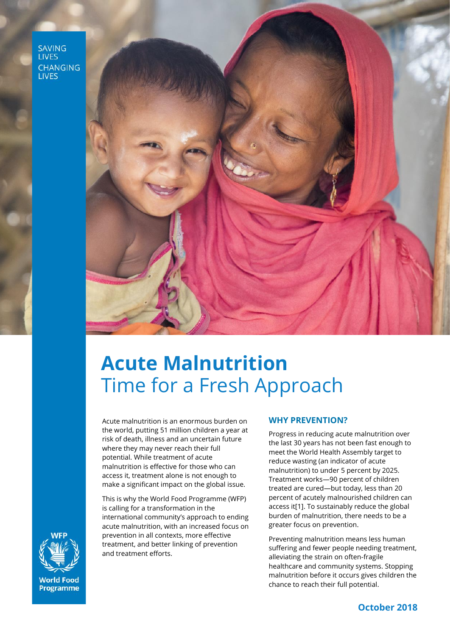**SAVING LIVES CHANGING LIVES** 



# **Acute Malnutrition**  Time for a Fresh Approach

Acute malnutrition is an enormous burden on the world, putting 51 million children a year at risk of death, illness and an uncertain future where they may never reach their full potential. While treatment of acute malnutrition is effective for those who can access it, treatment alone is not enough to make a significant impact on the global issue.

This is why the World Food Programme (WFP) is calling for a transformation in the international community's approach to ending acute malnutrition, with an increased focus on prevention in all contexts, more effective treatment, and better linking of prevention and treatment efforts.

#### **WHY PREVENTION?**

Progress in reducing acute malnutrition over the last 30 years has not been fast enough to meet the World Health Assembly target to reduce wasting (an indicator of acute malnutrition) to under 5 percent by 2025. Treatment works—90 percent of children treated are cured—but today, less than 20 percent of acutely malnourished children can access it[1]. To sustainably reduce the global burden of malnutrition, there needs to be a greater focus on prevention.

Preventing malnutrition means less human suffering and fewer people needing treatment, alleviating the strain on often-fragile healthcare and community systems. Stopping malnutrition before it occurs gives children the chance to reach their full potential.